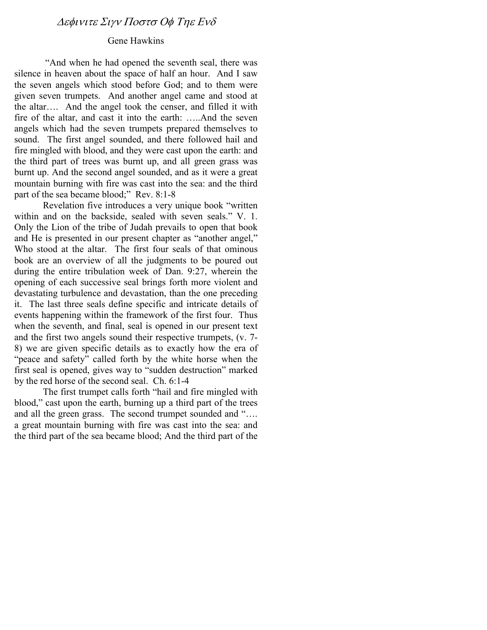### Gene Hawkins

 "And when he had opened the seventh seal, there was silence in heaven about the space of half an hour. And I saw the seven angels which stood before God; and to them were given seven trumpets. And another angel came and stood at the altar…. And the angel took the censer, and filled it with fire of the altar, and cast it into the earth: …..And the seven angels which had the seven trumpets prepared themselves to sound. The first angel sounded, and there followed hail and fire mingled with blood, and they were cast upon the earth: and the third part of trees was burnt up, and all green grass was burnt up. And the second angel sounded, and as it were a great mountain burning with fire was cast into the sea: and the third part of the sea became blood;" Rev. 8:1-8

 Revelation five introduces a very unique book "written within and on the backside, sealed with seven seals." V. 1. Only the Lion of the tribe of Judah prevails to open that book and He is presented in our present chapter as "another angel," Who stood at the altar. The first four seals of that ominous book are an overview of all the judgments to be poured out during the entire tribulation week of Dan. 9:27, wherein the opening of each successive seal brings forth more violent and devastating turbulence and devastation, than the one preceding it. The last three seals define specific and intricate details of events happening within the framework of the first four. Thus when the seventh, and final, seal is opened in our present text and the first two angels sound their respective trumpets, (v. 7- 8) we are given specific details as to exactly how the era of "peace and safety" called forth by the white horse when the first seal is opened, gives way to "sudden destruction" marked by the red horse of the second seal. Ch. 6:1-4

The first trumpet calls forth "hail and fire mingled with blood," cast upon the earth, burning up a third part of the trees and all the green grass. The second trumpet sounded and "…. a great mountain burning with fire was cast into the sea: and the third part of the sea became blood; And the third part of the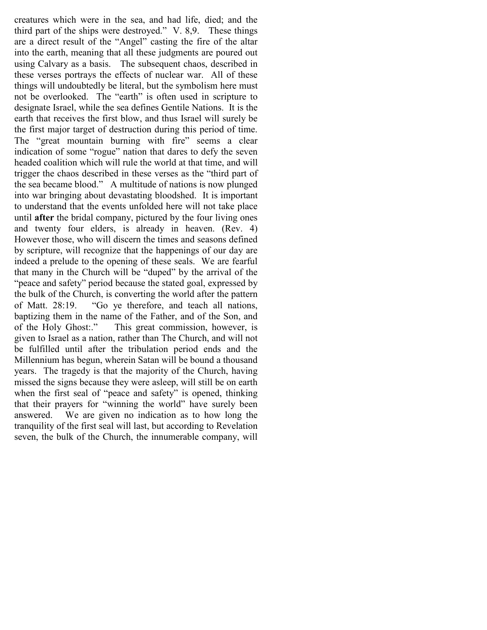creatures which were in the sea, and had life, died; and the third part of the ships were destroyed." V. 8,9. These things are a direct result of the "Angel" casting the fire of the altar into the earth, meaning that all these judgments are poured out using Calvary as a basis. The subsequent chaos, described in these verses portrays the effects of nuclear war. All of these things will undoubtedly be literal, but the symbolism here must not be overlooked. The "earth" is often used in scripture to designate Israel, while the sea defines Gentile Nations. It is the earth that receives the first blow, and thus Israel will surely be the first major target of destruction during this period of time. The "great mountain burning with fire" seems a clear indication of some "rogue" nation that dares to defy the seven headed coalition which will rule the world at that time, and will trigger the chaos described in these verses as the "third part of the sea became blood." A multitude of nations is now plunged into war bringing about devastating bloodshed. It is important to understand that the events unfolded here will not take place until after the bridal company, pictured by the four living ones and twenty four elders, is already in heaven. (Rev. 4) However those, who will discern the times and seasons defined by scripture, will recognize that the happenings of our day are indeed a prelude to the opening of these seals. We are fearful that many in the Church will be "duped" by the arrival of the "peace and safety" period because the stated goal, expressed by the bulk of the Church, is converting the world after the pattern of Matt. 28:19. "Go ye therefore, and teach all nations, baptizing them in the name of the Father, and of the Son, and of the Holy Ghost:." This great commission, however, is given to Israel as a nation, rather than The Church, and will not be fulfilled until after the tribulation period ends and the Millennium has begun, wherein Satan will be bound a thousand years. The tragedy is that the majority of the Church, having missed the signs because they were asleep, will still be on earth when the first seal of "peace and safety" is opened, thinking that their prayers for "winning the world" have surely been answered. We are given no indication as to how long the tranquility of the first seal will last, but according to Revelation seven, the bulk of the Church, the innumerable company, will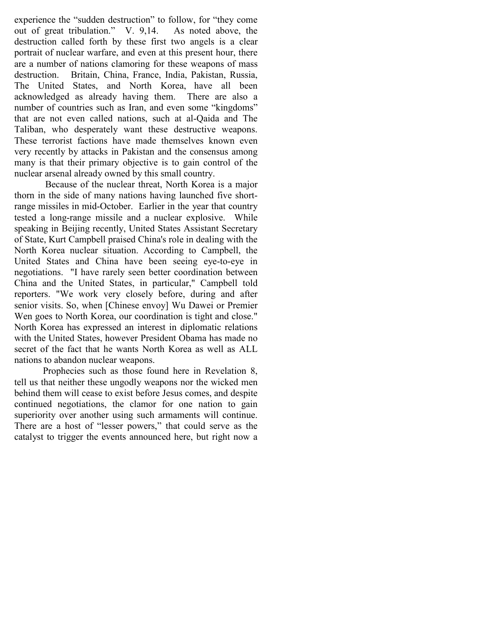experience the "sudden destruction" to follow, for "they come out of great tribulation." V. 9,14. As noted above, the destruction called forth by these first two angels is a clear portrait of nuclear warfare, and even at this present hour, there are a number of nations clamoring for these weapons of mass destruction. Britain, China, France, India, Pakistan, Russia, The United States, and North Korea, have all been acknowledged as already having them. There are also a number of countries such as Iran, and even some "kingdoms" that are not even called nations, such at al-Qaida and The Taliban, who desperately want these destructive weapons. These terrorist factions have made themselves known even very recently by attacks in Pakistan and the consensus among many is that their primary objective is to gain control of the nuclear arsenal already owned by this small country.

 Because of the nuclear threat, North Korea is a major thorn in the side of many nations having launched five shortrange missiles in mid-October. Earlier in the year that country tested a long-range missile and a nuclear explosive. While speaking in Beijing recently, United States Assistant Secretary of State, Kurt Campbell praised China's role in dealing with the North Korea nuclear situation. According to Campbell, the United States and China have been seeing eye-to-eye in negotiations. "I have rarely seen better coordination between China and the United States, in particular," Campbell told reporters. "We work very closely before, during and after senior visits. So, when [Chinese envoy] Wu Dawei or Premier Wen goes to North Korea, our coordination is tight and close." North Korea has expressed an interest in diplomatic relations with the United States, however President Obama has made no secret of the fact that he wants North Korea as well as ALL nations to abandon nuclear weapons.

Prophecies such as those found here in Revelation 8, tell us that neither these ungodly weapons nor the wicked men behind them will cease to exist before Jesus comes, and despite continued negotiations, the clamor for one nation to gain superiority over another using such armaments will continue. There are a host of "lesser powers," that could serve as the catalyst to trigger the events announced here, but right now a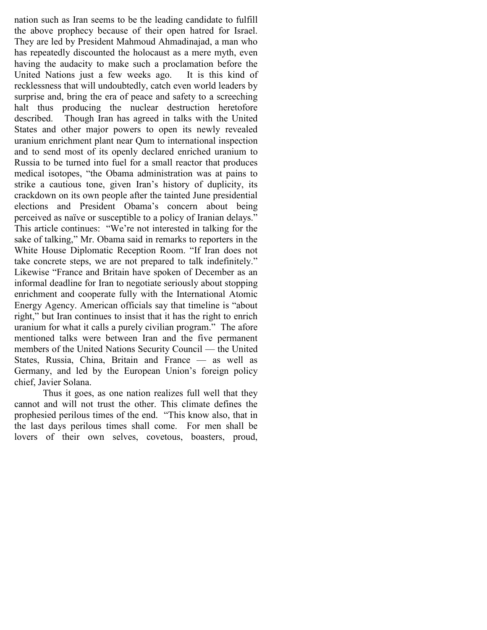nation such as Iran seems to be the leading candidate to fulfill the above prophecy because of their open hatred for Israel. They are led by President Mahmoud Ahmadinajad, a man who has repeatedly discounted the holocaust as a mere myth, even having the audacity to make such a proclamation before the United Nations just a few weeks ago. It is this kind of recklessness that will undoubtedly, catch even world leaders by surprise and, bring the era of peace and safety to a screeching halt thus producing the nuclear destruction heretofore described. Though Iran has agreed in talks with the United States and other major powers to open its newly revealed uranium enrichment plant near Qum to international inspection and to send most of its openly declared enriched uranium to Russia to be turned into fuel for a small reactor that produces medical isotopes, "the Obama administration was at pains to strike a cautious tone, given Iran's history of duplicity, its crackdown on its own people after the tainted June presidential elections and President Obama's concern about being perceived as naïve or susceptible to a policy of Iranian delays." This article continues: "We're not interested in talking for the sake of talking," Mr. Obama said in remarks to reporters in the White House Diplomatic Reception Room. "If Iran does not take concrete steps, we are not prepared to talk indefinitely." Likewise "France and Britain have spoken of December as an informal deadline for Iran to negotiate seriously about stopping enrichment and cooperate fully with the International Atomic Energy Agency. American officials say that timeline is "about right," but Iran continues to insist that it has the right to enrich uranium for what it calls a purely civilian program." The afore mentioned talks were between Iran and the five permanent members of the United Nations Security Council — the United States, Russia, China, Britain and France — as well as Germany, and led by the European Union's foreign policy chief, Javier Solana.

Thus it goes, as one nation realizes full well that they cannot and will not trust the other. This climate defines the prophesied perilous times of the end. "This know also, that in the last days perilous times shall come. For men shall be lovers of their own selves, covetous, boasters, proud,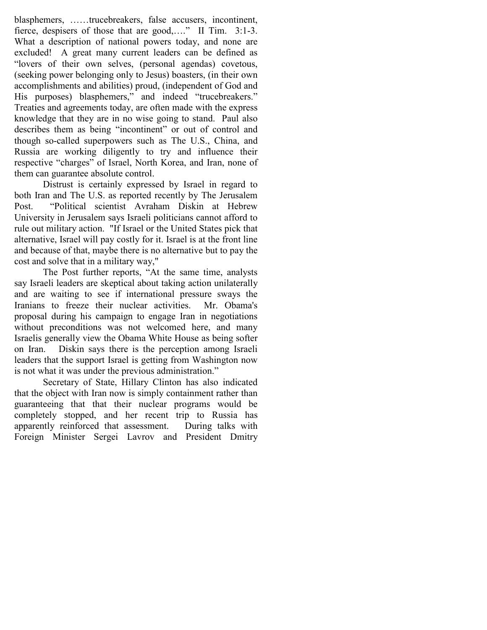blasphemers, ……trucebreakers, false accusers, incontinent, fierce, despisers of those that are good,...." II Tim. 3:1-3. What a description of national powers today, and none are excluded! A great many current leaders can be defined as "lovers of their own selves, (personal agendas) covetous, (seeking power belonging only to Jesus) boasters, (in their own accomplishments and abilities) proud, (independent of God and His purposes) blasphemers," and indeed "trucebreakers." Treaties and agreements today, are often made with the express knowledge that they are in no wise going to stand. Paul also describes them as being "incontinent" or out of control and though so-called superpowers such as The U.S., China, and Russia are working diligently to try and influence their respective "charges" of Israel, North Korea, and Iran, none of them can guarantee absolute control.

Distrust is certainly expressed by Israel in regard to both Iran and The U.S. as reported recently by The Jerusalem Post. "Political scientist Avraham Diskin at Hebrew University in Jerusalem says Israeli politicians cannot afford to rule out military action. "If Israel or the United States pick that alternative, Israel will pay costly for it. Israel is at the front line and because of that, maybe there is no alternative but to pay the cost and solve that in a military way,"

The Post further reports, "At the same time, analysts say Israeli leaders are skeptical about taking action unilaterally and are waiting to see if international pressure sways the Iranians to freeze their nuclear activities. Mr. Obama's proposal during his campaign to engage Iran in negotiations without preconditions was not welcomed here, and many Israelis generally view the Obama White House as being softer on Iran. Diskin says there is the perception among Israeli leaders that the support Israel is getting from Washington now is not what it was under the previous administration."

Secretary of State, Hillary Clinton has also indicated that the object with Iran now is simply containment rather than guaranteeing that that their nuclear programs would be completely stopped, and her recent trip to Russia has apparently reinforced that assessment. During talks with Foreign Minister Sergei Lavrov and President Dmitry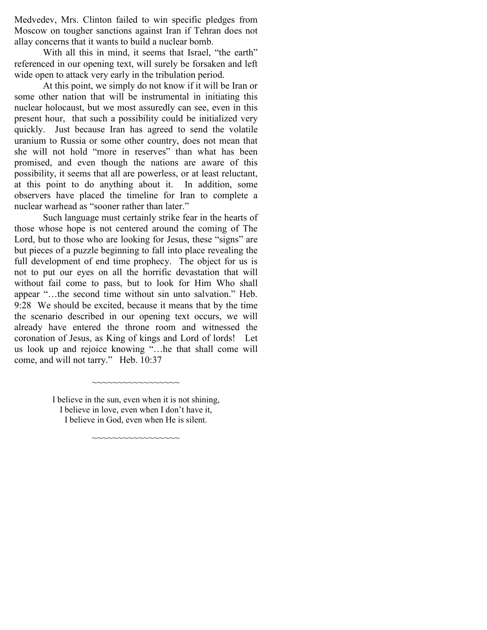Medvedev, Mrs. Clinton failed to win specific pledges from Moscow on tougher sanctions against Iran if Tehran does not allay concerns that it wants to build a nuclear bomb.

With all this in mind, it seems that Israel, "the earth" referenced in our opening text, will surely be forsaken and left wide open to attack very early in the tribulation period.

At this point, we simply do not know if it will be Iran or some other nation that will be instrumental in initiating this nuclear holocaust, but we most assuredly can see, even in this present hour, that such a possibility could be initialized very quickly. Just because Iran has agreed to send the volatile uranium to Russia or some other country, does not mean that she will not hold "more in reserves" than what has been promised, and even though the nations are aware of this possibility, it seems that all are powerless, or at least reluctant, at this point to do anything about it. In addition, some observers have placed the timeline for Iran to complete a nuclear warhead as "sooner rather than later."

Such language must certainly strike fear in the hearts of those whose hope is not centered around the coming of The Lord, but to those who are looking for Jesus, these "signs" are but pieces of a puzzle beginning to fall into place revealing the full development of end time prophecy. The object for us is not to put our eyes on all the horrific devastation that will without fail come to pass, but to look for Him Who shall appear "…the second time without sin unto salvation." Heb. 9:28 We should be excited, because it means that by the time the scenario described in our opening text occurs, we will already have entered the throne room and witnessed the coronation of Jesus, as King of kings and Lord of lords! Let us look up and rejoice knowing "…he that shall come will come, and will not tarry." Heb. 10:37

> I believe in the sun, even when it is not shining, I believe in love, even when I don't have it, I believe in God, even when He is silent.

> > ~~~~~~~~~~~~~~~

~~~~~~~~~~~~~~~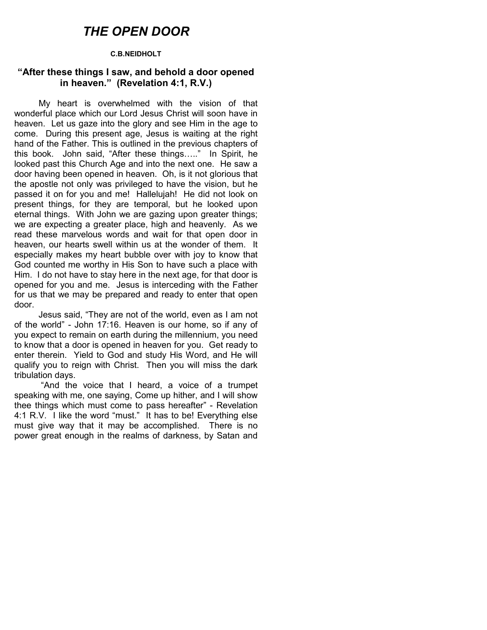## THE OPEN DOOR

#### C.B.NEIDHOLT

#### "After these things I saw, and behold a door opened in heaven." (Revelation 4:1, R.V.)

 My heart is overwhelmed with the vision of that wonderful place which our Lord Jesus Christ will soon have in heaven. Let us gaze into the glory and see Him in the age to come. During this present age, Jesus is waiting at the right hand of the Father. This is outlined in the previous chapters of this book. John said, "After these things….." In Spirit, he looked past this Church Age and into the next one. He saw a door having been opened in heaven. Oh, is it not glorious that the apostle not only was privileged to have the vision, but he passed it on for you and me! Hallelujah! He did not look on present things, for they are temporal, but he looked upon eternal things. With John we are gazing upon greater things; we are expecting a greater place, high and heavenly. As we read these marvelous words and wait for that open door in heaven, our hearts swell within us at the wonder of them. It especially makes my heart bubble over with joy to know that God counted me worthy in His Son to have such a place with Him. I do not have to stay here in the next age, for that door is opened for you and me. Jesus is interceding with the Father for us that we may be prepared and ready to enter that open door.

 Jesus said, "They are not of the world, even as I am not of the world" - John 17:16. Heaven is our home, so if any of you expect to remain on earth during the millennium, you need to know that a door is opened in heaven for you. Get ready to enter therein. Yield to God and study His Word, and He will qualify you to reign with Christ. Then you will miss the dark tribulation days.

 "And the voice that I heard, a voice of a trumpet speaking with me, one saying, Come up hither, and I will show thee things which must come to pass hereafter" - Revelation 4:1 R.V. I like the word "must." It has to be! Everything else must give way that it may be accomplished. There is no power great enough in the realms of darkness, by Satan and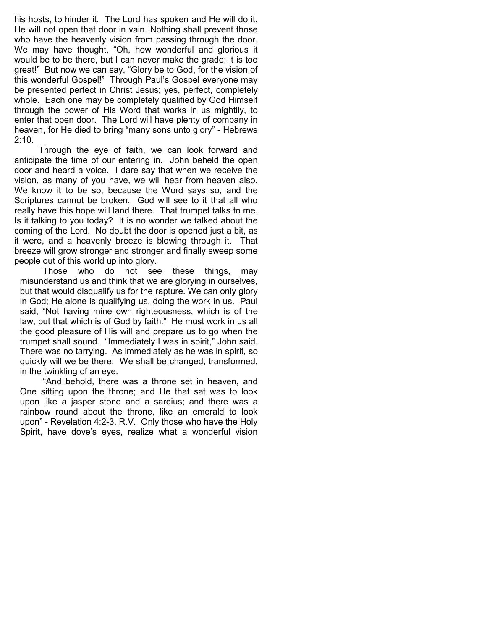his hosts, to hinder it. The Lord has spoken and He will do it. He will not open that door in vain. Nothing shall prevent those who have the heavenly vision from passing through the door. We may have thought, "Oh, how wonderful and glorious it would be to be there, but I can never make the grade; it is too great!" But now we can say, "Glory be to God, for the vision of this wonderful Gospel!" Through Paul's Gospel everyone may be presented perfect in Christ Jesus; yes, perfect, completely whole. Each one may be completely qualified by God Himself through the power of His Word that works in us mightily, to enter that open door. The Lord will have plenty of company in heaven, for He died to bring "many sons unto glory" - Hebrews 2:10.

 Through the eye of faith, we can look forward and anticipate the time of our entering in. John beheld the open door and heard a voice. I dare say that when we receive the vision, as many of you have, we will hear from heaven also. We know it to be so, because the Word says so, and the Scriptures cannot be broken. God will see to it that all who really have this hope will land there. That trumpet talks to me. Is it talking to you today? It is no wonder we talked about the coming of the Lord. No doubt the door is opened just a bit, as it were, and a heavenly breeze is blowing through it. That breeze will grow stronger and stronger and finally sweep some people out of this world up into glory.

 Those who do not see these things, may misunderstand us and think that we are glorying in ourselves, but that would disqualify us for the rapture. We can only glory in God; He alone is qualifying us, doing the work in us. Paul said, "Not having mine own righteousness, which is of the law, but that which is of God by faith." He must work in us all the good pleasure of His will and prepare us to go when the trumpet shall sound. "Immediately I was in spirit," John said. There was no tarrying. As immediately as he was in spirit, so quickly will we be there. We shall be changed, transformed, in the twinkling of an eye.

 "And behold, there was a throne set in heaven, and One sitting upon the throne; and He that sat was to look upon like a jasper stone and a sardius; and there was a rainbow round about the throne, like an emerald to look upon" - Revelation 4:2-3, R.V. Only those who have the Holy Spirit, have dove's eyes, realize what a wonderful vision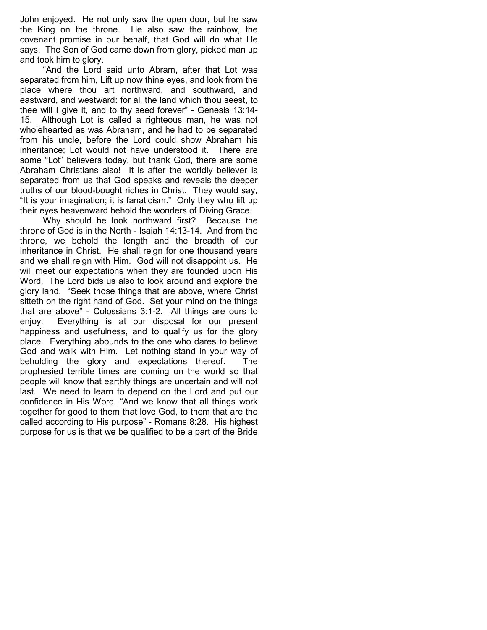John enjoyed. He not only saw the open door, but he saw the King on the throne. He also saw the rainbow, the covenant promise in our behalf, that God will do what He says. The Son of God came down from glory, picked man up and took him to glory.

 "And the Lord said unto Abram, after that Lot was separated from him, Lift up now thine eyes, and look from the place where thou art northward, and southward, and eastward, and westward: for all the land which thou seest, to thee will I give it, and to thy seed forever" - Genesis 13:14- 15. Although Lot is called a righteous man, he was not wholehearted as was Abraham, and he had to be separated from his uncle, before the Lord could show Abraham his inheritance; Lot would not have understood it. There are some "Lot" believers today, but thank God, there are some Abraham Christians also! It is after the worldly believer is separated from us that God speaks and reveals the deeper truths of our blood-bought riches in Christ. They would say, "It is your imagination; it is fanaticism." Only they who lift up their eyes heavenward behold the wonders of Diving Grace.

 Why should he look northward first? Because the throne of God is in the North - Isaiah 14:13-14. And from the throne, we behold the length and the breadth of our inheritance in Christ. He shall reign for one thousand years and we shall reign with Him. God will not disappoint us. He will meet our expectations when they are founded upon His Word. The Lord bids us also to look around and explore the glory land. "Seek those things that are above, where Christ sitteth on the right hand of God. Set your mind on the things that are above" - Colossians 3:1-2. All things are ours to enjoy. Everything is at our disposal for our present happiness and usefulness, and to qualify us for the glory place. Everything abounds to the one who dares to believe God and walk with Him. Let nothing stand in your way of beholding the glory and expectations thereof. The prophesied terrible times are coming on the world so that people will know that earthly things are uncertain and will not last. We need to learn to depend on the Lord and put our confidence in His Word. "And we know that all things work together for good to them that love God, to them that are the called according to His purpose" - Romans 8:28. His highest purpose for us is that we be qualified to be a part of the Bride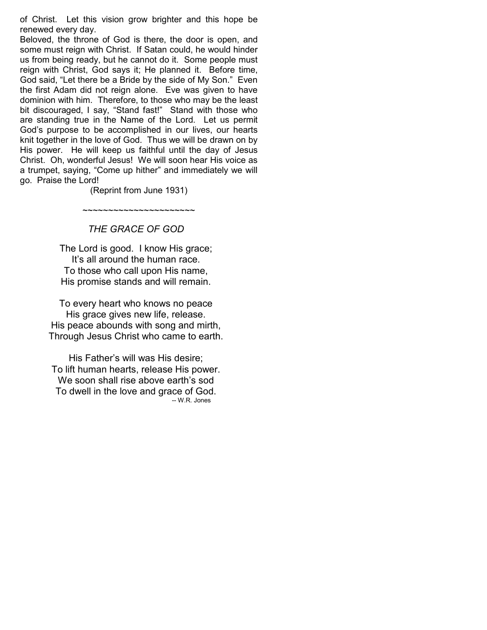of Christ. Let this vision grow brighter and this hope be renewed every day.

Beloved, the throne of God is there, the door is open, and some must reign with Christ. If Satan could, he would hinder us from being ready, but he cannot do it. Some people must reign with Christ, God says it; He planned it. Before time, God said, "Let there be a Bride by the side of My Son." Even the first Adam did not reign alone. Eve was given to have dominion with him. Therefore, to those who may be the least bit discouraged, I say, "Stand fast!" Stand with those who are standing true in the Name of the Lord. Let us permit God's purpose to be accomplished in our lives, our hearts knit together in the love of God. Thus we will be drawn on by His power. He will keep us faithful until the day of Jesus Christ. Oh, wonderful Jesus! We will soon hear His voice as a trumpet, saying, "Come up hither" and immediately we will go. Praise the Lord!

(Reprint from June 1931)

~~~~~~~~~~~~~~~~~~~~~~

## THE GRACE OF GOD

The Lord is good. I know His grace; It's all around the human race. To those who call upon His name, His promise stands and will remain.

To every heart who knows no peace His grace gives new life, release. His peace abounds with song and mirth, Through Jesus Christ who came to earth.

His Father's will was His desire; To lift human hearts, release His power. We soon shall rise above earth's sod To dwell in the love and grace of God. -- W.R. Jones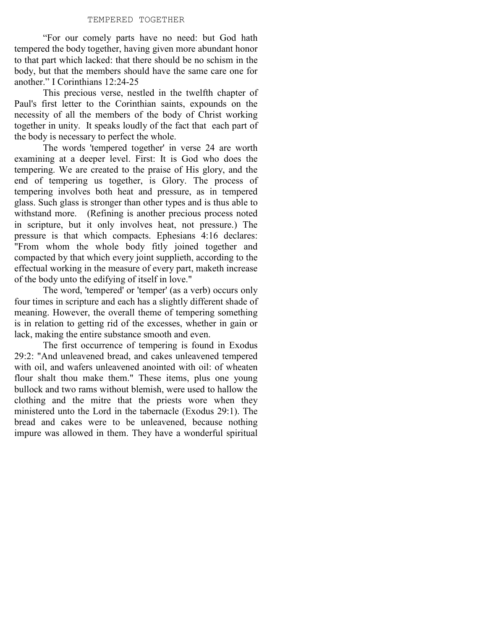#### TEMPERED TOGETHER

"For our comely parts have no need: but God hath tempered the body together, having given more abundant honor to that part which lacked: that there should be no schism in the body, but that the members should have the same care one for another." I Corinthians 12:24-25

This precious verse, nestled in the twelfth chapter of Paul's first letter to the Corinthian saints, expounds on the necessity of all the members of the body of Christ working together in unity. It speaks loudly of the fact that each part of the body is necessary to perfect the whole.

The words 'tempered together' in verse 24 are worth examining at a deeper level. First: It is God who does the tempering. We are created to the praise of His glory, and the end of tempering us together, is Glory. The process of tempering involves both heat and pressure, as in tempered glass. Such glass is stronger than other types and is thus able to withstand more. (Refining is another precious process noted in scripture, but it only involves heat, not pressure.) The pressure is that which compacts. Ephesians 4:16 declares: "From whom the whole body fitly joined together and compacted by that which every joint supplieth, according to the effectual working in the measure of every part, maketh increase of the body unto the edifying of itself in love."

The word, 'tempered' or 'temper' (as a verb) occurs only four times in scripture and each has a slightly different shade of meaning. However, the overall theme of tempering something is in relation to getting rid of the excesses, whether in gain or lack, making the entire substance smooth and even.

The first occurrence of tempering is found in Exodus 29:2: "And unleavened bread, and cakes unleavened tempered with oil, and wafers unleavened anointed with oil: of wheaten flour shalt thou make them." These items, plus one young bullock and two rams without blemish, were used to hallow the clothing and the mitre that the priests wore when they ministered unto the Lord in the tabernacle (Exodus 29:1). The bread and cakes were to be unleavened, because nothing impure was allowed in them. They have a wonderful spiritual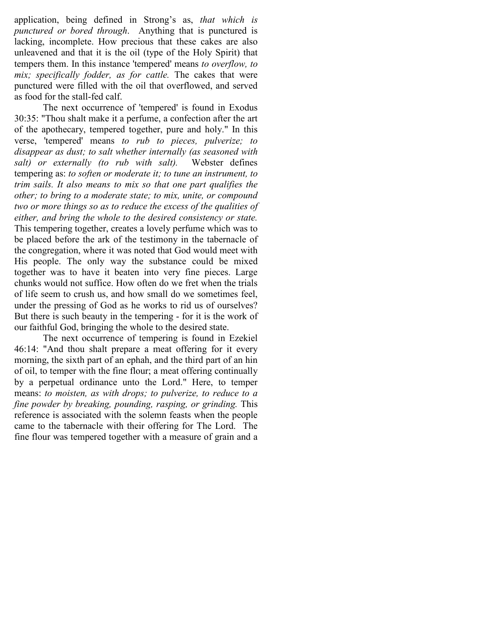application, being defined in Strong's as, that which is punctured or bored through. Anything that is punctured is lacking, incomplete. How precious that these cakes are also unleavened and that it is the oil (type of the Holy Spirit) that tempers them. In this instance 'tempered' means to overflow, to mix; specifically fodder, as for cattle. The cakes that were punctured were filled with the oil that overflowed, and served as food for the stall-fed calf.

The next occurrence of 'tempered' is found in Exodus 30:35: "Thou shalt make it a perfume, a confection after the art of the apothecary, tempered together, pure and holy." In this verse, 'tempered' means to rub to pieces, pulverize; to disappear as dust; to salt whether internally (as seasoned with salt) or externally (to rub with salt). Webster defines tempering as: to soften or moderate it; to tune an instrument, to trim sails. It also means to mix so that one part qualifies the other; to bring to a moderate state; to mix, unite, or compound two or more things so as to reduce the excess of the qualities of either, and bring the whole to the desired consistency or state. This tempering together, creates a lovely perfume which was to be placed before the ark of the testimony in the tabernacle of the congregation, where it was noted that God would meet with His people. The only way the substance could be mixed together was to have it beaten into very fine pieces. Large chunks would not suffice. How often do we fret when the trials of life seem to crush us, and how small do we sometimes feel, under the pressing of God as he works to rid us of ourselves? But there is such beauty in the tempering - for it is the work of our faithful God, bringing the whole to the desired state.

The next occurrence of tempering is found in Ezekiel 46:14: "And thou shalt prepare a meat offering for it every morning, the sixth part of an ephah, and the third part of an hin of oil, to temper with the fine flour; a meat offering continually by a perpetual ordinance unto the Lord." Here, to temper means: to moisten, as with drops; to pulverize, to reduce to a fine powder by breaking, pounding, rasping, or grinding. This reference is associated with the solemn feasts when the people came to the tabernacle with their offering for The Lord. The fine flour was tempered together with a measure of grain and a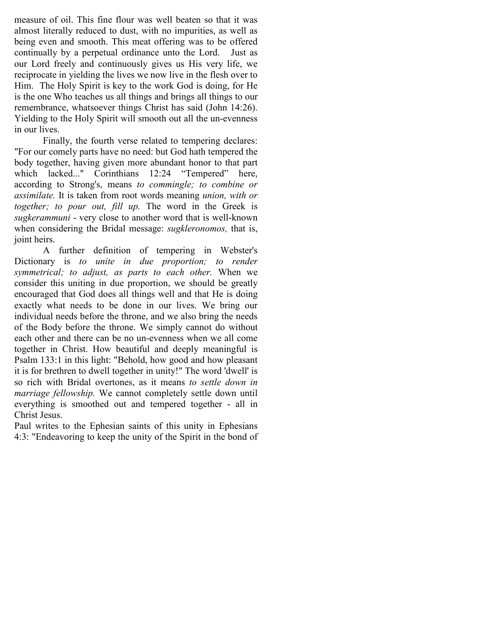measure of oil. This fine flour was well beaten so that it was almost literally reduced to dust, with no impurities, as well as being even and smooth. This meat offering was to be offered continually by a perpetual ordinance unto the Lord. Just as our Lord freely and continuously gives us His very life, we reciprocate in yielding the lives we now live in the flesh over to Him. The Holy Spirit is key to the work God is doing, for He is the one Who teaches us all things and brings all things to our remembrance, whatsoever things Christ has said (John 14:26). Yielding to the Holy Spirit will smooth out all the un-evenness in our lives.

Finally, the fourth verse related to tempering declares: "For our comely parts have no need: but God hath tempered the body together, having given more abundant honor to that part which lacked..." Corinthians 12:24 "Tempered" here, according to Strong's, means to commingle; to combine or assimilate. It is taken from root words meaning union, with or together; to pour out, fill up. The word in the Greek is sugkerammuni - very close to another word that is well-known when considering the Bridal message: *sugkleronomos*, that is, joint heirs.

A further definition of tempering in Webster's Dictionary is to unite in due proportion; to render symmetrical; to adjust, as parts to each other. When we consider this uniting in due proportion, we should be greatly encouraged that God does all things well and that He is doing exactly what needs to be done in our lives. We bring our individual needs before the throne, and we also bring the needs of the Body before the throne. We simply cannot do without each other and there can be no un-evenness when we all come together in Christ. How beautiful and deeply meaningful is Psalm 133:1 in this light: "Behold, how good and how pleasant it is for brethren to dwell together in unity!" The word 'dwell' is so rich with Bridal overtones, as it means to settle down in marriage fellowship. We cannot completely settle down until everything is smoothed out and tempered together - all in Christ Jesus.

Paul writes to the Ephesian saints of this unity in Ephesians 4:3: "Endeavoring to keep the unity of the Spirit in the bond of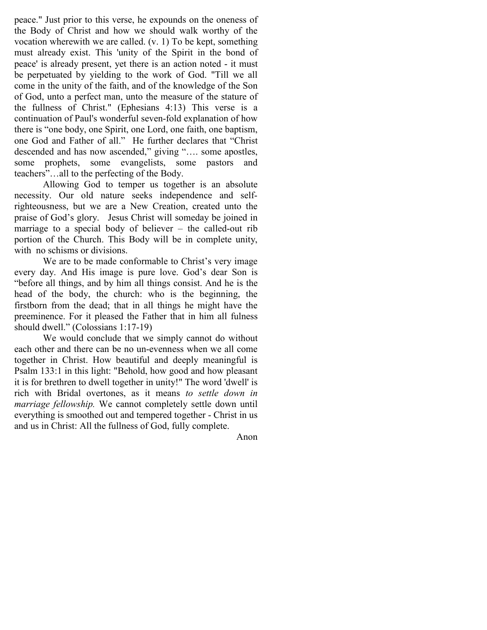peace." Just prior to this verse, he expounds on the oneness of the Body of Christ and how we should walk worthy of the vocation wherewith we are called. (v. 1) To be kept, something must already exist. This 'unity of the Spirit in the bond of peace' is already present, yet there is an action noted - it must be perpetuated by yielding to the work of God. "Till we all come in the unity of the faith, and of the knowledge of the Son of God, unto a perfect man, unto the measure of the stature of the fullness of Christ." (Ephesians 4:13) This verse is a continuation of Paul's wonderful seven-fold explanation of how there is "one body, one Spirit, one Lord, one faith, one baptism, one God and Father of all." He further declares that "Christ descended and has now ascended," giving "…. some apostles, some prophets, some evangelists, some pastors and teachers"…all to the perfecting of the Body.

Allowing God to temper us together is an absolute necessity. Our old nature seeks independence and selfrighteousness, but we are a New Creation, created unto the praise of God's glory. Jesus Christ will someday be joined in marriage to a special body of believer – the called-out rib portion of the Church. This Body will be in complete unity, with no schisms or divisions.

We are to be made conformable to Christ's very image every day. And His image is pure love. God's dear Son is "before all things, and by him all things consist. And he is the head of the body, the church: who is the beginning, the firstborn from the dead; that in all things he might have the preeminence. For it pleased the Father that in him all fulness should dwell." (Colossians 1:17-19)

We would conclude that we simply cannot do without each other and there can be no un-evenness when we all come together in Christ. How beautiful and deeply meaningful is Psalm 133:1 in this light: "Behold, how good and how pleasant it is for brethren to dwell together in unity!" The word 'dwell' is rich with Bridal overtones, as it means to settle down in marriage fellowship. We cannot completely settle down until everything is smoothed out and tempered together - Christ in us and us in Christ: All the fullness of God, fully complete.

Anon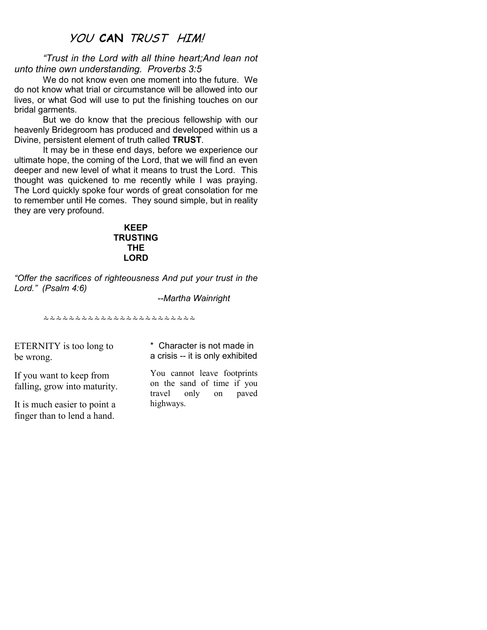## YOU CAN TRUST HIM!

"Trust in the Lord with all thine heart;And lean not unto thine own understanding. Proverbs 3:5

 We do not know even one moment into the future. We do not know what trial or circumstance will be allowed into our lives, or what God will use to put the finishing touches on our bridal garments.

But we do know that the precious fellowship with our heavenly Bridegroom has produced and developed within us a Divine, persistent element of truth called TRUST.

 It may be in these end days, before we experience our ultimate hope, the coming of the Lord, that we will find an even deeper and new level of what it means to trust the Lord. This thought was quickened to me recently while I was praying. The Lord quickly spoke four words of great consolation for me to remember until He comes. They sound simple, but in reality they are very profound.

#### KEEP **TRUSTING** THE LORD

"Offer the sacrifices of righteousness And put your trust in the Lord." (Psalm 4:6)

--Martha Wainright

\*\*\*\*\*\*\*\*\*\*\*\*\*\*\*\*\*\*\*\*\*\*\*

ETERNITY is too long to be wrong.

\* Character is not made in a crisis -- it is only exhibited

If you want to keep from falling, grow into maturity.

It is much easier to point a finger than to lend a hand.

You cannot leave footprints on the sand of time if you travel only on paved highways.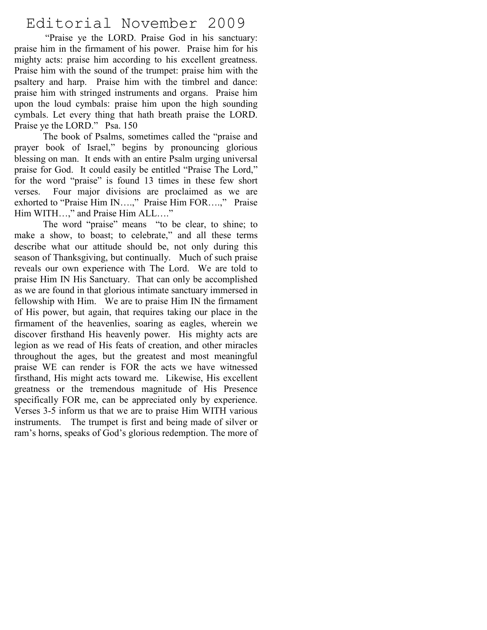## Editorial November 2009

 "Praise ye the LORD. Praise God in his sanctuary: praise him in the firmament of his power. Praise him for his mighty acts: praise him according to his excellent greatness. Praise him with the sound of the trumpet: praise him with the psaltery and harp. Praise him with the timbrel and dance: praise him with stringed instruments and organs. Praise him upon the loud cymbals: praise him upon the high sounding cymbals. Let every thing that hath breath praise the LORD. Praise ye the LORD." Psa. 150

The book of Psalms, sometimes called the "praise and prayer book of Israel," begins by pronouncing glorious blessing on man. It ends with an entire Psalm urging universal praise for God. It could easily be entitled "Praise The Lord," for the word "praise" is found 13 times in these few short verses. Four major divisions are proclaimed as we are exhorted to "Praise Him IN….," Praise Him FOR….," Praise Him WITH…," and Praise Him ALL…."

 The word "praise" means "to be clear, to shine; to make a show, to boast; to celebrate," and all these terms describe what our attitude should be, not only during this season of Thanksgiving, but continually. Much of such praise reveals our own experience with The Lord. We are told to praise Him IN His Sanctuary. That can only be accomplished as we are found in that glorious intimate sanctuary immersed in fellowship with Him. We are to praise Him IN the firmament of His power, but again, that requires taking our place in the firmament of the heavenlies, soaring as eagles, wherein we discover firsthand His heavenly power. His mighty acts are legion as we read of His feats of creation, and other miracles throughout the ages, but the greatest and most meaningful praise WE can render is FOR the acts we have witnessed firsthand, His might acts toward me. Likewise, His excellent greatness or the tremendous magnitude of His Presence specifically FOR me, can be appreciated only by experience. Verses 3-5 inform us that we are to praise Him WITH various instruments. The trumpet is first and being made of silver or ram's horns, speaks of God's glorious redemption. The more of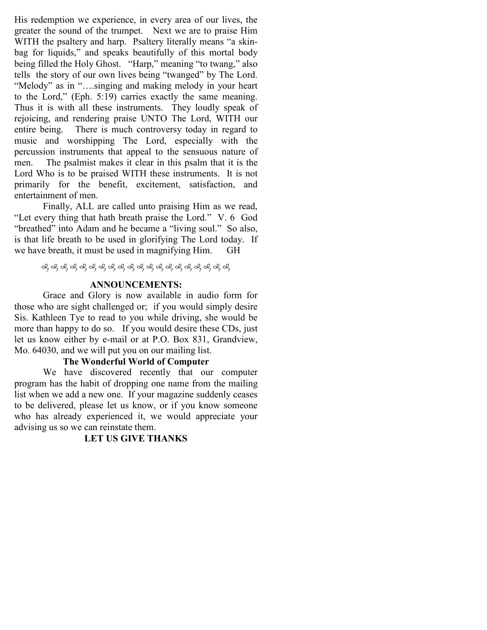His redemption we experience, in every area of our lives, the greater the sound of the trumpet. Next we are to praise Him WITH the psaltery and harp. Psaltery literally means "a skinbag for liquids," and speaks beautifully of this mortal body being filled the Holy Ghost. "Harp," meaning "to twang," also tells the story of our own lives being "twanged" by The Lord. "Melody" as in "….singing and making melody in your heart to the Lord," (Eph. 5:19) carries exactly the same meaning. Thus it is with all these instruments. They loudly speak of rejoicing, and rendering praise UNTO The Lord, WITH our entire being. There is much controversy today in regard to music and worshipping The Lord, especially with the percussion instruments that appeal to the sensuous nature of men. The psalmist makes it clear in this psalm that it is the Lord Who is to be praised WITH these instruments. It is not primarily for the benefit, excitement, satisfaction, and entertainment of men.

 Finally, ALL are called unto praising Him as we read, "Let every thing that hath breath praise the Lord." V. 6 God "breathed" into Adam and he became a "living soul." So also, is that life breath to be used in glorifying The Lord today. If we have breath, it must be used in magnifying Him. GH

#### ANNOUNCEMENTS:

Grace and Glory is now available in audio form for those who are sight challenged or; if you would simply desire Sis. Kathleen Tye to read to you while driving, she would be more than happy to do so. If you would desire these CDs, just let us know either by e-mail or at P.O. Box 831, Grandview, Mo. 64030, and we will put you on our mailing list.

#### The Wonderful World of Computer

We have discovered recently that our computer program has the habit of dropping one name from the mailing list when we add a new one. If your magazine suddenly ceases to be delivered, please let us know, or if you know someone who has already experienced it, we would appreciate your advising us so we can reinstate them.

#### LET US GIVE THANKS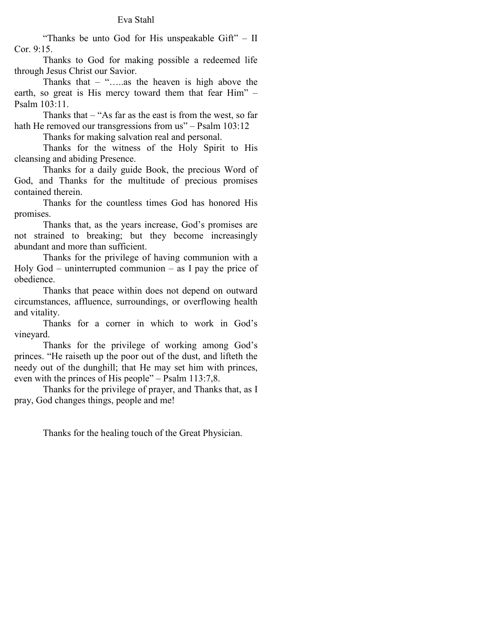#### Eva Stahl

 "Thanks be unto God for His unspeakable Gift" – II Cor. 9:15.

Thanks to God for making possible a redeemed life through Jesus Christ our Savior.

Thanks that  $-$  ".....as the heaven is high above the earth, so great is His mercy toward them that fear Him" – Psalm 103:11.

Thanks that – "As far as the east is from the west, so far hath He removed our transgressions from us" – Psalm 103:12

Thanks for making salvation real and personal.

Thanks for the witness of the Holy Spirit to His cleansing and abiding Presence.

 Thanks for a daily guide Book, the precious Word of God, and Thanks for the multitude of precious promises contained therein.

 Thanks for the countless times God has honored His promises.

 Thanks that, as the years increase, God's promises are not strained to breaking; but they become increasingly abundant and more than sufficient.

 Thanks for the privilege of having communion with a Holy God – uninterrupted communion – as I pay the price of obedience.

 Thanks that peace within does not depend on outward circumstances, affluence, surroundings, or overflowing health and vitality.

 Thanks for a corner in which to work in God's vineyard.

Thanks for the privilege of working among God's princes. "He raiseth up the poor out of the dust, and lifteth the needy out of the dunghill; that He may set him with princes, even with the princes of His people" – Psalm 113:7,8.

 Thanks for the privilege of prayer, and Thanks that, as I pray, God changes things, people and me!

Thanks for the healing touch of the Great Physician.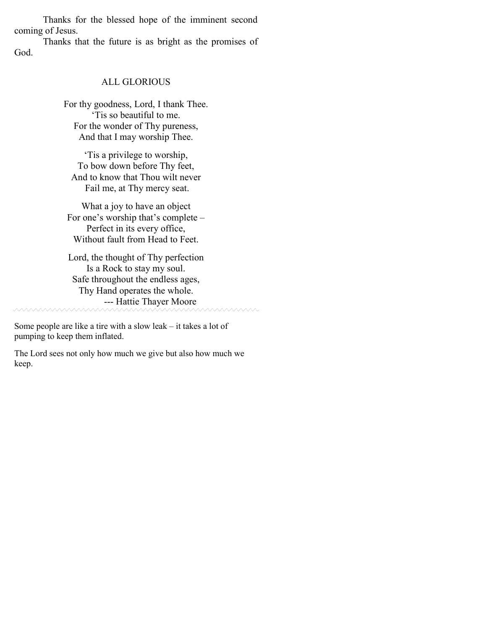Thanks for the blessed hope of the imminent second coming of Jesus.

 Thanks that the future is as bright as the promises of God.

#### ALL GLORIOUS

For thy goodness, Lord, I thank Thee. 'Tis so beautiful to me. For the wonder of Thy pureness, And that I may worship Thee.

'Tis a privilege to worship, To bow down before Thy feet, And to know that Thou wilt never Fail me, at Thy mercy seat.

What a joy to have an object For one's worship that's complete – Perfect in its every office, Without fault from Head to Feet.

Lord, the thought of Thy perfection Is a Rock to stay my soul. Safe throughout the endless ages, Thy Hand operates the whole. --- Hattie Thayer Moore

<u>vaaaaaaaa</u>

Some people are like a tire with a slow leak – it takes a lot of pumping to keep them inflated.

The Lord sees not only how much we give but also how much we keep.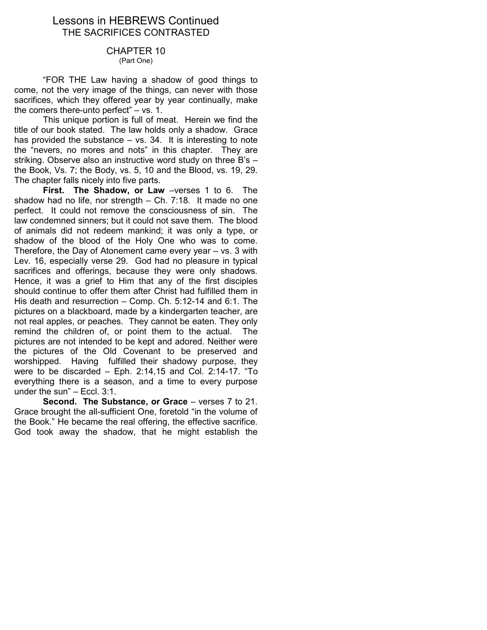## Lessons in HEBREWS Continued THE SACRIFICES CONTRASTED

## CHAPTER 10

(Part One)

 "FOR THE Law having a shadow of good things to come, not the very image of the things, can never with those sacrifices, which they offered year by year continually, make the comers there-unto perfect" – vs. 1.

 This unique portion is full of meat. Herein we find the title of our book stated. The law holds only a shadow. Grace has provided the substance  $-$  vs. 34. It is interesting to note the "nevers, no mores and nots" in this chapter. They are striking. Observe also an instructive word study on three B's – the Book, Vs. 7; the Body, vs. 5, 10 and the Blood, vs. 19, 29. The chapter falls nicely into five parts.

First. The Shadow, or Law -verses 1 to 6. The shadow had no life, nor strength – Ch. 7:18. It made no one perfect. It could not remove the consciousness of sin. The law condemned sinners; but it could not save them. The blood of animals did not redeem mankind; it was only a type, or shadow of the blood of the Holy One who was to come. Therefore, the Day of Atonement came every year – vs. 3 with Lev. 16, especially verse 29. God had no pleasure in typical sacrifices and offerings, because they were only shadows. Hence, it was a grief to Him that any of the first disciples should continue to offer them after Christ had fulfilled them in His death and resurrection – Comp. Ch. 5:12-14 and 6:1. The pictures on a blackboard, made by a kindergarten teacher, are not real apples, or peaches. They cannot be eaten. They only remind the children of, or point them to the actual. The pictures are not intended to be kept and adored. Neither were the pictures of the Old Covenant to be preserved and worshipped. Having fulfilled their shadowy purpose, they were to be discarded – Eph. 2:14,15 and Col. 2:14-17. "To everything there is a season, and a time to every purpose under the sun" – Eccl. 3:1.

Second. The Substance, or Grace – verses 7 to 21. Grace brought the all-sufficient One, foretold "in the volume of the Book." He became the real offering, the effective sacrifice. God took away the shadow, that he might establish the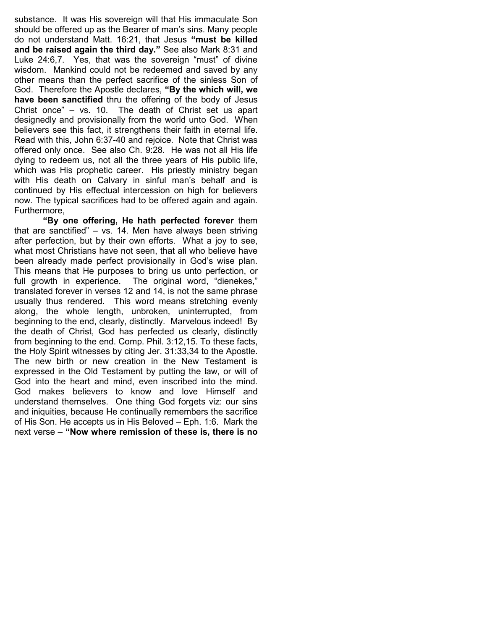substance. It was His sovereign will that His immaculate Son should be offered up as the Bearer of man's sins. Many people do not understand Matt. 16:21, that Jesus "must be killed and be raised again the third day." See also Mark 8:31 and Luke 24:6,7. Yes, that was the sovereign "must" of divine wisdom. Mankind could not be redeemed and saved by any other means than the perfect sacrifice of the sinless Son of God. Therefore the Apostle declares, "By the which will, we have been sanctified thru the offering of the body of Jesus Christ once" – vs. 10. The death of Christ set us apart designedly and provisionally from the world unto God. When believers see this fact, it strengthens their faith in eternal life. Read with this, John 6:37-40 and rejoice. Note that Christ was offered only once. See also Ch. 9:28. He was not all His life dying to redeem us, not all the three years of His public life, which was His prophetic career. His priestly ministry began with His death on Calvary in sinful man's behalf and is continued by His effectual intercession on high for believers now. The typical sacrifices had to be offered again and again. Furthermore,

"By one offering, He hath perfected forever them that are sanctified" – vs. 14. Men have always been striving after perfection, but by their own efforts. What a joy to see, what most Christians have not seen, that all who believe have been already made perfect provisionally in God's wise plan. This means that He purposes to bring us unto perfection, or full growth in experience. The original word, "dienekes," translated forever in verses 12 and 14, is not the same phrase usually thus rendered. This word means stretching evenly along, the whole length, unbroken, uninterrupted, from beginning to the end, clearly, distinctly. Marvelous indeed! By the death of Christ, God has perfected us clearly, distinctly from beginning to the end. Comp. Phil. 3:12,15. To these facts, the Holy Spirit witnesses by citing Jer. 31:33,34 to the Apostle. The new birth or new creation in the New Testament is expressed in the Old Testament by putting the law, or will of God into the heart and mind, even inscribed into the mind. God makes believers to know and love Himself and understand themselves. One thing God forgets viz: our sins and iniquities, because He continually remembers the sacrifice of His Son. He accepts us in His Beloved – Eph. 1:6. Mark the next verse – "Now where remission of these is, there is no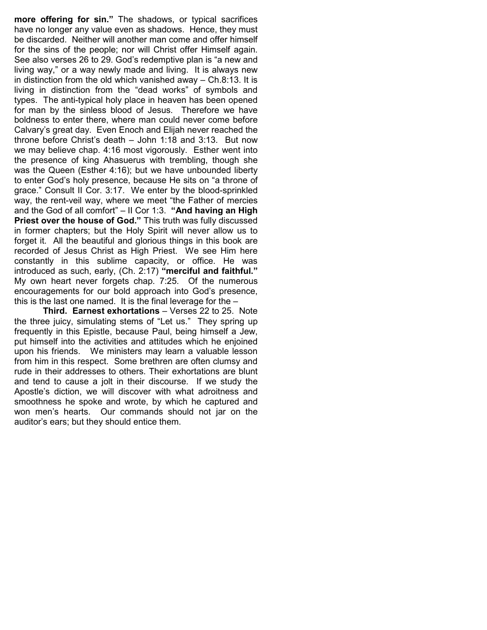more offering for sin." The shadows, or typical sacrifices have no longer any value even as shadows. Hence, they must be discarded. Neither will another man come and offer himself for the sins of the people; nor will Christ offer Himself again. See also verses 26 to 29. God's redemptive plan is "a new and living way," or a way newly made and living. It is always new in distinction from the old which vanished away – Ch.8:13. It is living in distinction from the "dead works" of symbols and types. The anti-typical holy place in heaven has been opened for man by the sinless blood of Jesus. Therefore we have boldness to enter there, where man could never come before Calvary's great day. Even Enoch and Elijah never reached the throne before Christ's death – John 1:18 and 3:13. But now we may believe chap. 4:16 most vigorously. Esther went into the presence of king Ahasuerus with trembling, though she was the Queen (Esther 4:16); but we have unbounded liberty to enter God's holy presence, because He sits on "a throne of grace." Consult II Cor. 3:17. We enter by the blood-sprinkled way, the rent-veil way, where we meet "the Father of mercies and the God of all comfort"  $-$  II Cor 1:3. "And having an High **Priest over the house of God."** This truth was fully discussed in former chapters; but the Holy Spirit will never allow us to forget it. All the beautiful and glorious things in this book are recorded of Jesus Christ as High Priest. We see Him here constantly in this sublime capacity, or office. He was introduced as such, early, (Ch. 2:17) "merciful and faithful." My own heart never forgets chap. 7:25. Of the numerous encouragements for our bold approach into God's presence, this is the last one named. It is the final leverage for the –

Third. Earnest exhortations – Verses 22 to 25. Note the three juicy, simulating stems of "Let us." They spring up frequently in this Epistle, because Paul, being himself a Jew, put himself into the activities and attitudes which he enjoined upon his friends. We ministers may learn a valuable lesson from him in this respect. Some brethren are often clumsy and rude in their addresses to others. Their exhortations are blunt and tend to cause a jolt in their discourse. If we study the Apostle's diction, we will discover with what adroitness and smoothness he spoke and wrote, by which he captured and won men's hearts. Our commands should not jar on the auditor's ears; but they should entice them.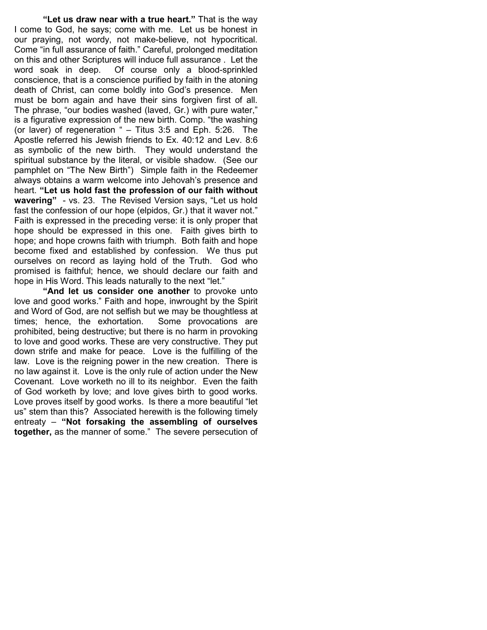"Let us draw near with a true heart." That is the way I come to God, he says; come with me. Let us be honest in our praying, not wordy, not make-believe, not hypocritical. Come "in full assurance of faith." Careful, prolonged meditation on this and other Scriptures will induce full assurance . Let the word soak in deep. Of course only a blood-sprinkled conscience, that is a conscience purified by faith in the atoning death of Christ, can come boldly into God's presence. Men must be born again and have their sins forgiven first of all. The phrase, "our bodies washed (laved, Gr.) with pure water," is a figurative expression of the new birth. Comp. "the washing (or laver) of regeneration " – Titus 3:5 and Eph. 5:26. The Apostle referred his Jewish friends to Ex. 40:12 and Lev. 8:6 as symbolic of the new birth. They would understand the spiritual substance by the literal, or visible shadow. (See our pamphlet on "The New Birth") Simple faith in the Redeemer always obtains a warm welcome into Jehovah's presence and heart. "Let us hold fast the profession of our faith without wavering" - vs. 23. The Revised Version says, "Let us hold fast the confession of our hope (elpidos, Gr.) that it waver not." Faith is expressed in the preceding verse: it is only proper that hope should be expressed in this one. Faith gives birth to hope; and hope crowns faith with triumph. Both faith and hope become fixed and established by confession. We thus put ourselves on record as laying hold of the Truth. God who promised is faithful; hence, we should declare our faith and hope in His Word. This leads naturally to the next "let."

"And let us consider one another to provoke unto love and good works." Faith and hope, inwrought by the Spirit and Word of God, are not selfish but we may be thoughtless at times; hence, the exhortation. Some provocations are prohibited, being destructive; but there is no harm in provoking to love and good works. These are very constructive. They put down strife and make for peace. Love is the fulfilling of the law. Love is the reigning power in the new creation. There is no law against it. Love is the only rule of action under the New Covenant. Love worketh no ill to its neighbor. Even the faith of God worketh by love; and love gives birth to good works. Love proves itself by good works. Is there a more beautiful "let us" stem than this? Associated herewith is the following timely entreaty – "Not forsaking the assembling of ourselves together, as the manner of some." The severe persecution of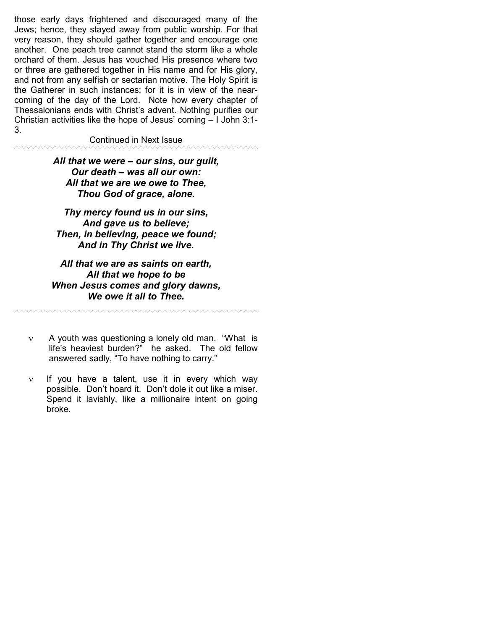those early days frightened and discouraged many of the Jews; hence, they stayed away from public worship. For that very reason, they should gather together and encourage one another. One peach tree cannot stand the storm like a whole orchard of them. Jesus has vouched His presence where two or three are gathered together in His name and for His glory, and not from any selfish or sectarian motive. The Holy Spirit is the Gatherer in such instances; for it is in view of the nearcoming of the day of the Lord. Note how every chapter of Thessalonians ends with Christ's advent. Nothing purifies our Christian activities like the hope of Jesus' coming – I John 3:1- 3.

#### Continued in Next Issue

**AAAAAAAA** 

maaaaaan

<u>MWWWWWWWWWWWWWWWW</u>

#### All that we were – our sins, our guilt, Our death – was all our own: All that we are we owe to Thee, Thou God of grace, alone.

Thy mercy found us in our sins, And gave us to believe; Then, in believing, peace we found; And in Thy Christ we live.

## All that we are as saints on earth, All that we hope to be When Jesus comes and glory dawns, We owe it all to Thee.

ν A youth was questioning a lonely old man. "What is life's heaviest burden?" he asked. The old fellow answered sadly, "To have nothing to carry."

ν If you have a talent, use it in every which way possible. Don't hoard it. Don't dole it out like a miser. Spend it lavishly, like a millionaire intent on going broke.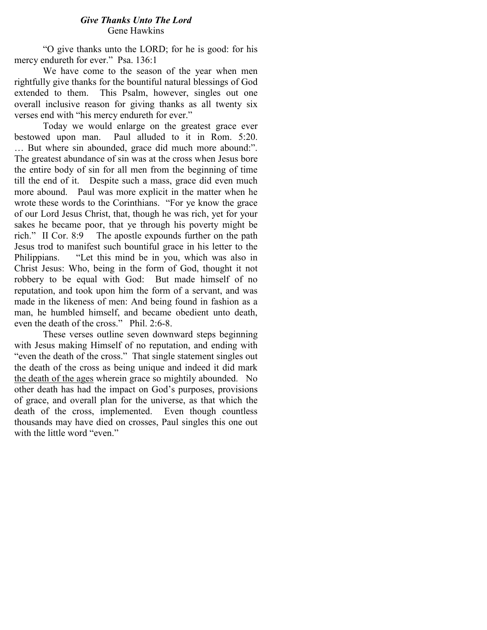### Give Thanks Unto The Lord Gene Hawkins

"O give thanks unto the LORD; for he is good: for his mercy endureth for ever." Psa. 136:1

We have come to the season of the year when men rightfully give thanks for the bountiful natural blessings of God extended to them. This Psalm, however, singles out one overall inclusive reason for giving thanks as all twenty six verses end with "his mercy endureth for ever."

Today we would enlarge on the greatest grace ever bestowed upon man. Paul alluded to it in Rom. 5:20. … But where sin abounded, grace did much more abound:". The greatest abundance of sin was at the cross when Jesus bore the entire body of sin for all men from the beginning of time till the end of it. Despite such a mass, grace did even much more abound. Paul was more explicit in the matter when he wrote these words to the Corinthians. "For ye know the grace of our Lord Jesus Christ, that, though he was rich, yet for your sakes he became poor, that ye through his poverty might be rich." II Cor. 8:9 The apostle expounds further on the path Jesus trod to manifest such bountiful grace in his letter to the Philippians. "Let this mind be in you, which was also in Christ Jesus: Who, being in the form of God, thought it not robbery to be equal with God: But made himself of no reputation, and took upon him the form of a servant, and was made in the likeness of men: And being found in fashion as a man, he humbled himself, and became obedient unto death, even the death of the cross." Phil. 2:6-8.

These verses outline seven downward steps beginning with Jesus making Himself of no reputation, and ending with "even the death of the cross." That single statement singles out the death of the cross as being unique and indeed it did mark the death of the ages wherein grace so mightily abounded. No other death has had the impact on God's purposes, provisions of grace, and overall plan for the universe, as that which the death of the cross, implemented. Even though countless thousands may have died on crosses, Paul singles this one out with the little word "even."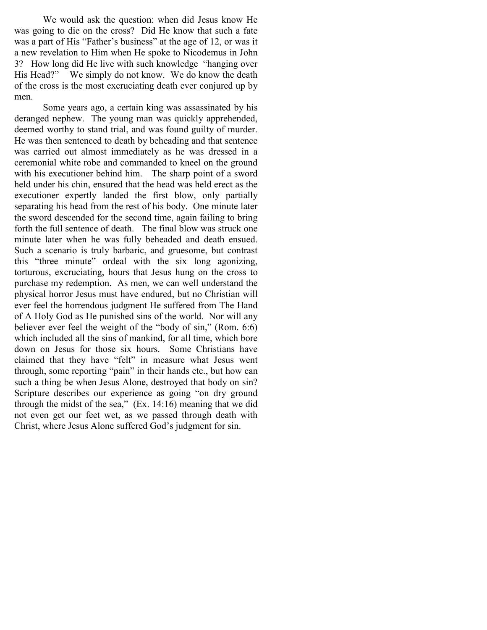We would ask the question: when did Jesus know He was going to die on the cross? Did He know that such a fate was a part of His "Father's business" at the age of 12, or was it a new revelation to Him when He spoke to Nicodemus in John 3? How long did He live with such knowledge "hanging over His Head?" We simply do not know. We do know the death of the cross is the most excruciating death ever conjured up by men.

Some years ago, a certain king was assassinated by his deranged nephew. The young man was quickly apprehended, deemed worthy to stand trial, and was found guilty of murder. He was then sentenced to death by beheading and that sentence was carried out almost immediately as he was dressed in a ceremonial white robe and commanded to kneel on the ground with his executioner behind him. The sharp point of a sword held under his chin, ensured that the head was held erect as the executioner expertly landed the first blow, only partially separating his head from the rest of his body. One minute later the sword descended for the second time, again failing to bring forth the full sentence of death. The final blow was struck one minute later when he was fully beheaded and death ensued. Such a scenario is truly barbaric, and gruesome, but contrast this "three minute" ordeal with the six long agonizing, torturous, excruciating, hours that Jesus hung on the cross to purchase my redemption. As men, we can well understand the physical horror Jesus must have endured, but no Christian will ever feel the horrendous judgment He suffered from The Hand of A Holy God as He punished sins of the world. Nor will any believer ever feel the weight of the "body of sin," (Rom. 6:6) which included all the sins of mankind, for all time, which bore down on Jesus for those six hours. Some Christians have claimed that they have "felt" in measure what Jesus went through, some reporting "pain" in their hands etc., but how can such a thing be when Jesus Alone, destroyed that body on sin? Scripture describes our experience as going "on dry ground through the midst of the sea," (Ex. 14:16) meaning that we did not even get our feet wet, as we passed through death with Christ, where Jesus Alone suffered God's judgment for sin.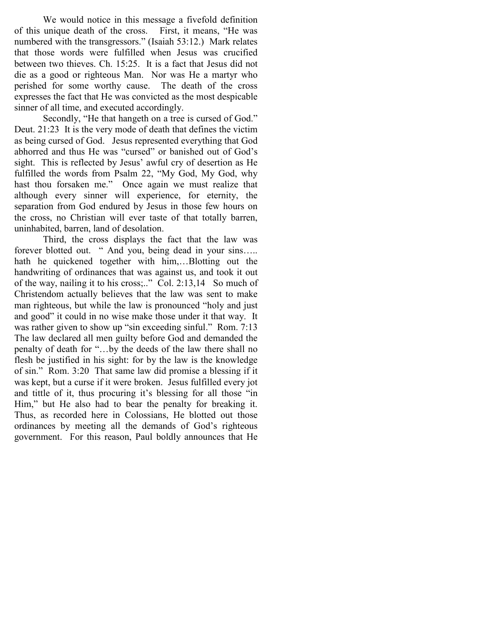We would notice in this message a fivefold definition of this unique death of the cross. First, it means, "He was numbered with the transgressors." (Isaiah 53:12.) Mark relates that those words were fulfilled when Jesus was crucified between two thieves. Ch. 15:25. It is a fact that Jesus did not die as a good or righteous Man. Nor was He a martyr who perished for some worthy cause. The death of the cross expresses the fact that He was convicted as the most despicable sinner of all time, and executed accordingly.

Secondly, "He that hangeth on a tree is cursed of God." Deut. 21:23 It is the very mode of death that defines the victim as being cursed of God. Jesus represented everything that God abhorred and thus He was "cursed" or banished out of God's sight. This is reflected by Jesus' awful cry of desertion as He fulfilled the words from Psalm 22, "My God, My God, why hast thou forsaken me." Once again we must realize that although every sinner will experience, for eternity, the separation from God endured by Jesus in those few hours on the cross, no Christian will ever taste of that totally barren, uninhabited, barren, land of desolation.

Third, the cross displays the fact that the law was forever blotted out. " And you, being dead in your sins..... hath he quickened together with him,…Blotting out the handwriting of ordinances that was against us, and took it out of the way, nailing it to his cross;.." Col. 2:13,14 So much of Christendom actually believes that the law was sent to make man righteous, but while the law is pronounced "holy and just and good" it could in no wise make those under it that way. It was rather given to show up "sin exceeding sinful." Rom. 7:13 The law declared all men guilty before God and demanded the penalty of death for "…by the deeds of the law there shall no flesh be justified in his sight: for by the law is the knowledge of sin." Rom. 3:20 That same law did promise a blessing if it was kept, but a curse if it were broken. Jesus fulfilled every jot and tittle of it, thus procuring it's blessing for all those "in Him," but He also had to bear the penalty for breaking it. Thus, as recorded here in Colossians, He blotted out those ordinances by meeting all the demands of God's righteous government. For this reason, Paul boldly announces that He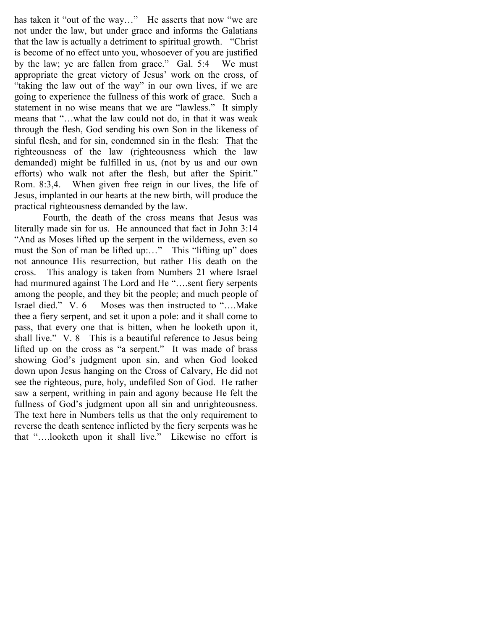has taken it "out of the way..." He asserts that now "we are not under the law, but under grace and informs the Galatians that the law is actually a detriment to spiritual growth. "Christ is become of no effect unto you, whosoever of you are justified by the law; ye are fallen from grace." Gal. 5:4 We must appropriate the great victory of Jesus' work on the cross, of "taking the law out of the way" in our own lives, if we are going to experience the fullness of this work of grace. Such a statement in no wise means that we are "lawless." It simply means that "…what the law could not do, in that it was weak through the flesh, God sending his own Son in the likeness of sinful flesh, and for sin, condemned sin in the flesh: That the righteousness of the law (righteousness which the law demanded) might be fulfilled in us, (not by us and our own efforts) who walk not after the flesh, but after the Spirit." Rom. 8:3,4. When given free reign in our lives, the life of Jesus, implanted in our hearts at the new birth, will produce the practical righteousness demanded by the law.

Fourth, the death of the cross means that Jesus was literally made sin for us. He announced that fact in John 3:14 "And as Moses lifted up the serpent in the wilderness, even so must the Son of man be lifted up:..." This "lifting up" does not announce His resurrection, but rather His death on the cross. This analogy is taken from Numbers 21 where Israel had murmured against The Lord and He "....sent fiery serpents" among the people, and they bit the people; and much people of Israel died." V. 6 Moses was then instructed to "….Make thee a fiery serpent, and set it upon a pole: and it shall come to pass, that every one that is bitten, when he looketh upon it, shall live." V. 8 This is a beautiful reference to Jesus being lifted up on the cross as "a serpent." It was made of brass showing God's judgment upon sin, and when God looked down upon Jesus hanging on the Cross of Calvary, He did not see the righteous, pure, holy, undefiled Son of God. He rather saw a serpent, writhing in pain and agony because He felt the fullness of God's judgment upon all sin and unrighteousness. The text here in Numbers tells us that the only requirement to reverse the death sentence inflicted by the fiery serpents was he that "….looketh upon it shall live." Likewise no effort is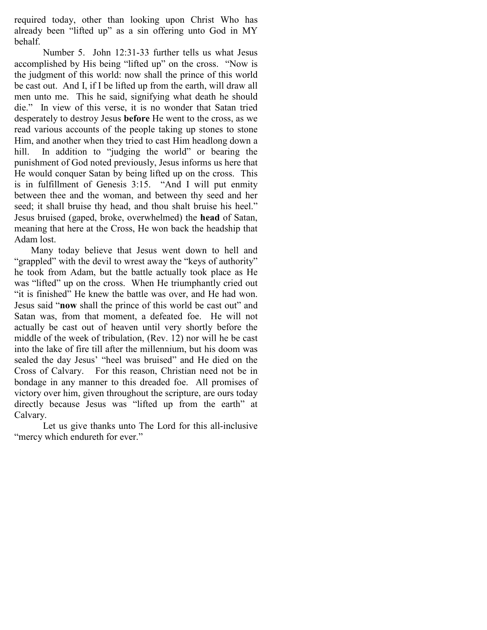required today, other than looking upon Christ Who has already been "lifted up" as a sin offering unto God in MY behalf.

Number 5. John 12:31-33 further tells us what Jesus accomplished by His being "lifted up" on the cross. "Now is the judgment of this world: now shall the prince of this world be cast out. And I, if I be lifted up from the earth, will draw all men unto me. This he said, signifying what death he should die." In view of this verse, it is no wonder that Satan tried desperately to destroy Jesus before He went to the cross, as we read various accounts of the people taking up stones to stone Him, and another when they tried to cast Him headlong down a hill. In addition to "judging the world" or bearing the punishment of God noted previously, Jesus informs us here that He would conquer Satan by being lifted up on the cross. This is in fulfillment of Genesis 3:15. "And I will put enmity between thee and the woman, and between thy seed and her seed; it shall bruise thy head, and thou shalt bruise his heel." Jesus bruised (gaped, broke, overwhelmed) the head of Satan, meaning that here at the Cross, He won back the headship that Adam lost.

 Many today believe that Jesus went down to hell and "grappled" with the devil to wrest away the "keys of authority" he took from Adam, but the battle actually took place as He was "lifted" up on the cross. When He triumphantly cried out "it is finished" He knew the battle was over, and He had won. Jesus said "now shall the prince of this world be cast out" and Satan was, from that moment, a defeated foe. He will not actually be cast out of heaven until very shortly before the middle of the week of tribulation, (Rev. 12) nor will he be cast into the lake of fire till after the millennium, but his doom was sealed the day Jesus' "heel was bruised" and He died on the Cross of Calvary. For this reason, Christian need not be in bondage in any manner to this dreaded foe. All promises of victory over him, given throughout the scripture, are ours today directly because Jesus was "lifted up from the earth" at Calvary.

 Let us give thanks unto The Lord for this all-inclusive "mercy which endureth for ever."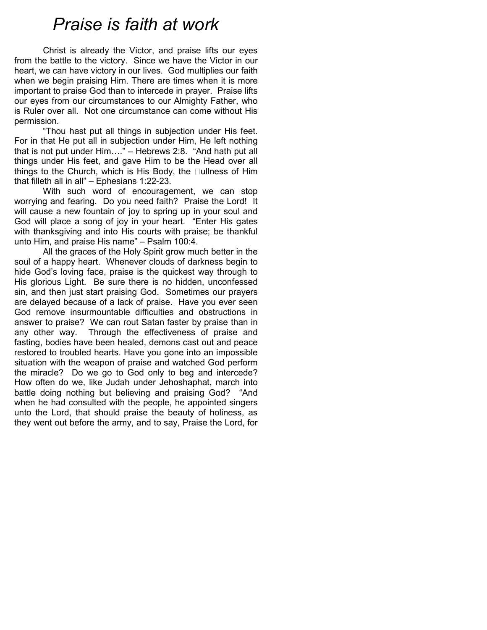# Praise is faith at work

Christ is already the Victor, and praise lifts our eyes from the battle to the victory. Since we have the Victor in our heart, we can have victory in our lives. God multiplies our faith when we begin praising Him. There are times when it is more important to praise God than to intercede in prayer. Praise lifts our eyes from our circumstances to our Almighty Father, who is Ruler over all. Not one circumstance can come without His permission.

"Thou hast put all things in subjection under His feet. For in that He put all in subjection under Him, He left nothing that is not put under Him…." – Hebrews 2:8. "And hath put all things under His feet, and gave Him to be the Head over all things to the Church, which is His Body, the Mullness of Him that filleth all in all" – Ephesians 1:22-23.

 With such word of encouragement, we can stop worrying and fearing. Do you need faith? Praise the Lord! It will cause a new fountain of joy to spring up in your soul and God will place a song of joy in your heart. "Enter His gates with thanksgiving and into His courts with praise; be thankful unto Him, and praise His name" – Psalm 100:4.

 All the graces of the Holy Spirit grow much better in the soul of a happy heart. Whenever clouds of darkness begin to hide God's loving face, praise is the quickest way through to His glorious Light. Be sure there is no hidden, unconfessed sin, and then just start praising God. Sometimes our prayers are delayed because of a lack of praise. Have you ever seen God remove insurmountable difficulties and obstructions in answer to praise? We can rout Satan faster by praise than in any other way. Through the effectiveness of praise and fasting, bodies have been healed, demons cast out and peace restored to troubled hearts. Have you gone into an impossible situation with the weapon of praise and watched God perform the miracle? Do we go to God only to beg and intercede? How often do we, like Judah under Jehoshaphat, march into battle doing nothing but believing and praising God? "And when he had consulted with the people, he appointed singers unto the Lord, that should praise the beauty of holiness, as they went out before the army, and to say, Praise the Lord, for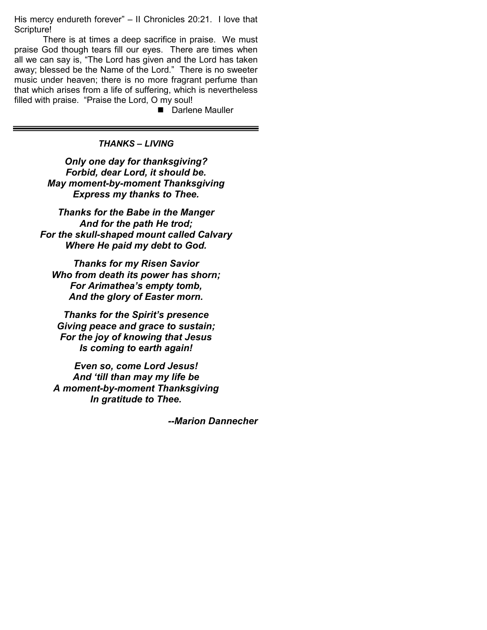His mercy endureth forever" – II Chronicles 20:21. I love that Scripture!

 There is at times a deep sacrifice in praise. We must praise God though tears fill our eyes. There are times when all we can say is, "The Lord has given and the Lord has taken away; blessed be the Name of the Lord." There is no sweeter music under heaven; there is no more fragrant perfume than that which arises from a life of suffering, which is nevertheless filled with praise. "Praise the Lord, O my soul!

Darlene Mauller

## THANKS – LIVING

Only one day for thanksgiving? Forbid, dear Lord, it should be. May moment-by-moment Thanksgiving Express my thanks to Thee.

Thanks for the Babe in the Manger And for the path He trod; For the skull-shaped mount called Calvary Where He paid my debt to God.

Thanks for my Risen Savior Who from death its power has shorn; For Arimathea's empty tomb, And the glory of Easter morn.

Thanks for the Spirit's presence Giving peace and grace to sustain; For the joy of knowing that Jesus Is coming to earth again!

Even so, come Lord Jesus! And 'till than may my life be A moment-by-moment Thanksgiving In gratitude to Thee.

--Marion Dannecher